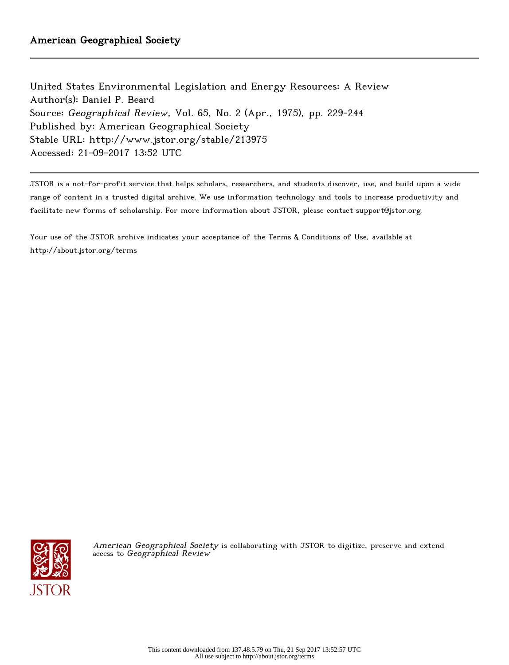United States Environmental Legislation and Energy Resources: A Review Author(s): Daniel P. Beard Source: Geographical Review, Vol. 65, No. 2 (Apr., 1975), pp. 229-244 Published by: American Geographical Society Stable URL: http://www.jstor.org/stable/213975 Accessed: 21-09-2017 13:52 UTC

JSTOR is a not-for-profit service that helps scholars, researchers, and students discover, use, and build upon a wide range of content in a trusted digital archive. We use information technology and tools to increase productivity and facilitate new forms of scholarship. For more information about JSTOR, please contact support@jstor.org.

Your use of the JSTOR archive indicates your acceptance of the Terms & Conditions of Use, available at http://about.jstor.org/terms



American Geographical Society is collaborating with JSTOR to digitize, preserve and extend access to Geographical Review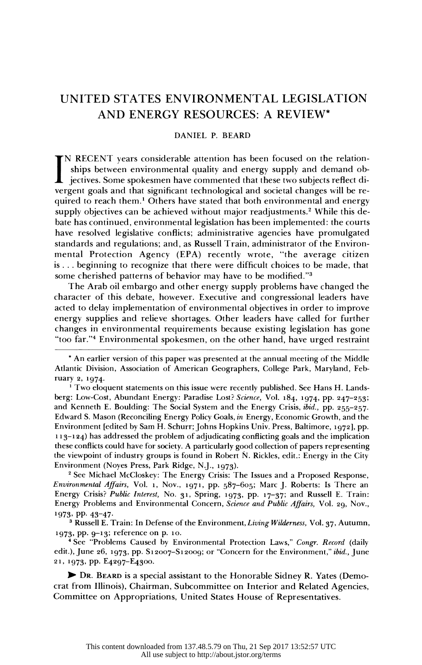# UNITED STATES ENVIRONMENTAL LEGISLATION AND ENERGY RESOURCES: A REVIEW\*

## DANIEL P. BEARD

IN RECENT years considerable attention has been focused on the relation ships between environmental quality and energy supply and demand ob-  $\blacksquare$  iectives. Some spokesmen have commented that these two subjects reflect di vergent goals and that significant technological and societal changes will be re quired to reach them.<sup>1</sup> Others have stated that both environmental and energy supply objectives can be achieved without major readjustments.<sup>2</sup> While this de bate has continued, environmental legislation has been implemented: the courts have resolved legislative conflicts; administrative agencies have promulgated standards and regulations; and, as Russell Train, administrator of the Environ mental Protection Agency (EPA) recently wrote, "the average citizen is... beginning to recognize that there were difficult choices to be made, that some cherished patterns of behavior may have to be modified."<sup>3</sup>

 The Arab oil embargo and other energy supply problems have changed the character of this debate, however. Executive and congressional leaders have acted to delay implementation of environmental objectives in order to improve energy supplies and relieve shortages. Other leaders have called for further changes in environmental requirements because existing legislation has gone "too far."4 Environmental spokesmen, on the other hand, have urged restraint

<sup>1</sup> Two eloquent statements on this issue were recently published. See Hans H. Lands berg: Low-Cost, Abundant Energy: Paradise Lost? Science, Vol. 184, 1974, pp. 247-253; and Kenneth E. Boulding: The Social System and the Energy Crisis, ibid., pp. 255-257. Edward S. Mason (Reconciling Energy Policy Goals, in Energy, Economic Growth, and the Environment [edited by Sam H. Schurr; Johns Hopkins Univ. Press, Baltimore, 1972], pp. 113-124) has addressed the problem of adjudicating conflicting goals and the implication these conflicts could have for society. A particularly good collection of papers representing the viewpoint of industry groups is found in Robert N. Rickles, edit.: Energy in the City Environment (Noyes Press, Park Ridge, N.J., 1973).

 2 See Michael McCloskey: The Energy Crisis: The Issues and a Proposed Response, *Environmental Affairs*, Vol. 1, Nov., 1971, pp.  $587-605$ ; Marc J. Roberts: Is There an Energy Crisis? Public Interest, No. 31, Spring, 1973, pp. 17-37; and Russell E. Train: Energy Problems and Environmental Concern, Science and Public Affairs, Vol. 29, Nov., 1973, PP- 43-47.

<sup>3</sup> Russell E. Train: In Defense of the Environment, Living Wilderness, Vol. 37, Autumn, 1973, pp. 9-13; reference on p. 1o.

<sup>4</sup> See "Problems Caused by Environmental Protection Laws," Congr. Record (daily edit.), June 26, 1973, pp. S12007-S12009; or "Concern for the Environment," ibid., June 21, 1973, pp. E4297-E4300.

 ) DR. BEARD is a special assistant to the Honorable Sidney R. Yates (Demo crat from Illinois), Chairman, Subcommittee on Interior and Related Agencies, Committee on Appropriations, United States House of Representatives.

 <sup>\*</sup> An earlier version of this paper was presented at the annual meeting of the Middle Atlantic Division, Association of American Geographers, College Park, Maryland, Feb ruary 2, 1974.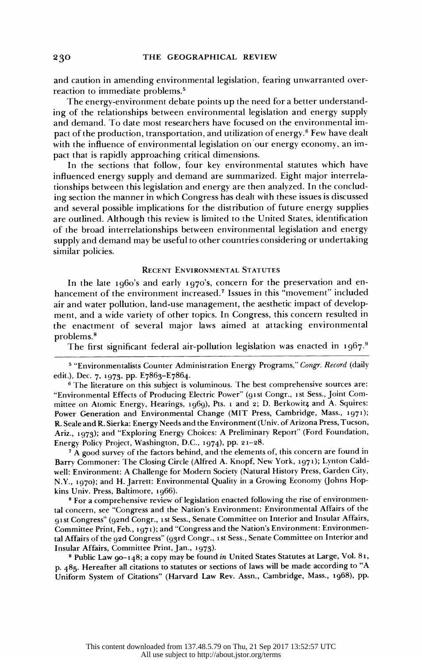and caution in amending environmental legislation, fearing unwarranted over reaction to immediate problems.5

 The energy-environment debate points up the need for a better understand ing of the relationships between environmental legislation and energy supply and demand. To date most researchers have focused on the environmental im pact of the production, transportation, and utilization of energy. $6$  Few have dealt with the influence of environmental legislation on our energy economy, an impact that is rapidly approaching critical dimensions.

 In the sections that follow, four key environmental statutes which have influenced energy supply and demand are summarized. Eight major interrela tionships between this legislation and energy are then analyzed. In the conclud ing section the manner in which Congress has dealt with these issues is discussed and several possible implications for the distribution of future energy supplies are outlined. Although this review is limited to the United States, identification of the broad interrelationships between environmental legislation and energy supply and demand may be useful to other countries considering or undertaking similar policies.

## RECENT ENVIRONMENTAL STATUTES

 In the late 1960's and early 1970's, concern for the preservation and en hancement of the environment increased.7 Issues in this "movement" included air and water pollution, land-use management, the aesthetic impact of develop ment, and a wide variety of other topics. In Congress, this concern resulted in the enactment of several major laws aimed at attacking environmental problems.8

The first significant federal air-pollution legislation was enacted in  $1967$ .<sup>9</sup>

<sup>7</sup> A good survey of the factors behind, and the elements of, this concern are found in Barry Commoner: The Closing Circle (Alfred A. Knopf, New York, 1971); Lynton Cald well: Environment: A Challenge for Modern Society (Natural History Press, Garden City, N.Y., 1970); and H. Jarrett: Environmental Quality in a Growing Economy (Johns Hop kins Univ. Press, Baltimore, 1966).

<sup>8</sup> For a comprehensive review of legislation enacted following the rise of environmen tal concern, see "Congress and the Nation's Environment: Environmental Affairs of the 9gst Congress" (92nd Congr., ist Sess., Senate Committee on Interior and Insular Affairs, Committee Print, Feb., 1971); and "Congress and the Nation's Environment: Environmen tal Affairs of the 92d Congress" (93rd Congr., 1st Sess., Senate Committee on Interior and Insular Affairs, Committee Print, Jan., 1973).

 9 Public Law 90-148; a copy may be found in United States Statutes at Large, Vol. 81, p. 485. Hereafter all citations to statutes or sections of laws will be made according to "A Uniform System of Citations" (Harvard Law Rev. Assn., Cambridge, Mass., 1968), pp.

230

<sup>&</sup>lt;sup>5</sup> "Environmentalists Counter Administration Energy Programs," Congr. Record (daily edit.), Dec. 7, 1973, pp. E7863-E7864.

<sup>&</sup>lt;sup>6</sup> The literature on this subject is voluminous. The best comprehensive sources are: "Environmental Effects of Producing Electric Power" (91st Congr., 1st Sess., Joint Com mittee on Atomic Energy, Hearings, 1969), Pts. 1 and 2; D. Berkowitz and A. Squires: Power Generation and Environmental Change (MIT Press, Cambridge, Mass., 1971); R. Seale and R. Sierka: Energy Needs and the Environment (Univ. of Arizona Press, Tucson, Ariz., 1973); and "Exploring Energy Choices: A Preliminary Report" (Ford Foundation, Energy Policy Project, Washington, D.C., 1974), pp. 21-28.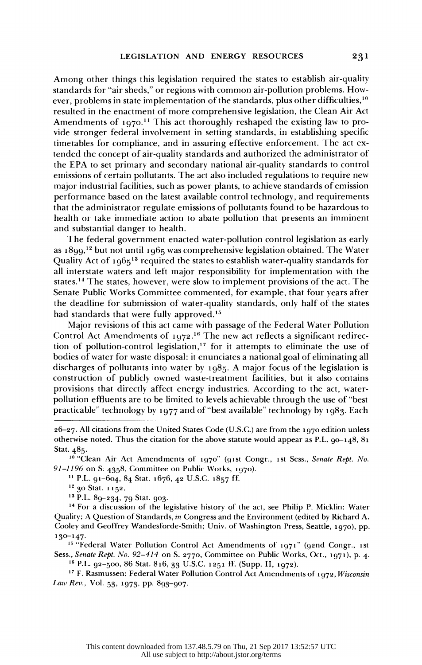Among other things this legislation required the states to establish air-quality standards for "air sheds," or regions with common air-pollution problems. How ever, problems in state implementation of the standards, plus other difficulties,<sup>10</sup> resulted in the enactment of more comprehensive legislation, the Clean Air Act Amendments of  $1970<sup>11</sup>$ . This act thoroughly reshaped the existing law to pro vide stronger federal involvement in setting standards, in establishing specific timetables for compliance, and in assuring effective enforcement. The act ex tended the concept of air-quality standards and authorized the administrator of the EPA to set primary and secondary national air-quality standards to control emissions of certain pollutants. The act also included regulations to require new major industrial facilities, such as power plants, to achieve standards of emission performance based on the latest available control technology, and requirements that the administrator regulate emissions of pollutants found to be hazardous to health or take immediate action to abate pollution that presents an imminent and substantial danger to health.

 The federal government enacted water-pollution control legislation as early as 1899,<sup>12</sup> but not until 1965 was comprehensive legislation obtained. The Water Quality Act of 1965<sup>13</sup> required the states to establish water-quality standards for all interstate waters and left major responsibility for implementation with the states.14 The states, however, were slow to implement provisions of the act. The Senate Public Works Committee commented, for example, that four years after the deadline for submission of water-quality standards, only half of the states had standards that were fully approved.<sup>15</sup>

 Major revisions of this act came with passage of the Federal Water Pollution Control Act Amendments of 1972.<sup>16</sup> The new act reflects a significant redirection of pollution-control legislation,<sup>17</sup> for it attempts to eliminate the use of bodies of water for waste disposal: it enunciates a national goal of eliminating all discharges of pollutants into water by 1985. A major focus of the legislation is construction of publicly owned waste-treatment facilities, but it also contains provisions that directly affect energy industries. According to the act, water pollution effluents are to be limited to levels achievable through the use of "best practicable" technology by 1977 and of "best available" technology by 1983. Each

<sup>10</sup> "Clean Air Act Amendments of 1970" (91st Congr., 1st Sess., Senate Rept. No. 91-1196 on S. 4358, Committee on Public Works, 1970).

<sup>11</sup> P.L. 91-604, 84 Stat. 1676, 42 U.S.C. 1857 ff.

<sup>12</sup> 30 Stat. 1152.

13 P.L. 89-234, 79 Stat. 903.

 14 For a discussion of the legislative history of the act, see Philip P. Micklin: Water Quality: A Question of Standards, in Congress and the Environment (edited by Richard A. Cooley and Geoffrey Wandesforde-Smith; Univ. of Washington Press, Seattle, 1970), pp. 130-147.

<sup>15</sup> "Federal Water Pollution Control Act Amendments of 1971" (92nd Congr., 1st Sess., Senate Rept. No. 92-414 on S. 2770, Committee on Public Works, Oct., 1971), p. 4.

16 P.L. 92-500, 86 Stat. 816, 33 U.S.C. 1251 ff. (Supp. II, 1972).

<sup>17</sup> F. Rasmussen: Federal Water Pollution Control Act Amendments of 1972, *Wisconsin* Law Rev., Vol. 53, 1973, pp. 893-907.

 <sup>26-27.</sup> All citations from the United States Code (U.S.C.) are from the 1970 edition unless otherwise noted. Thus the citation for the above statute would appear as P.L.  $90-148$ ,  $81$ Stat. 485.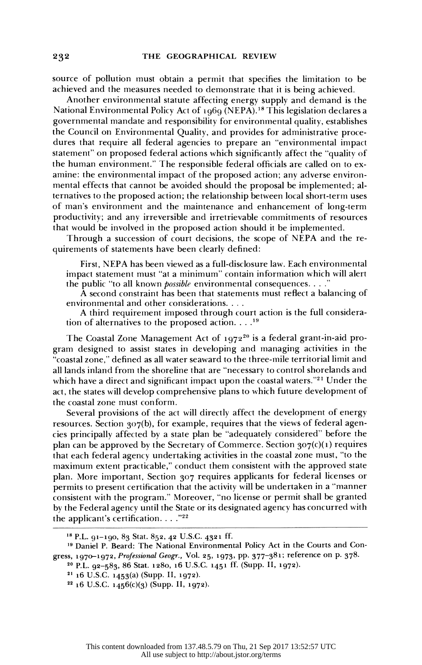source of pollution must obtain a permit that specifies the limitation to be achieved and the measures needed to demonstrate that it is being achieved.

 Another environmental statute affecting energy supply and demand is the National Environmental Policy Act of 1969 (NEPA).<sup>18</sup> This legislation declares a governmental mandate and responsibility for environmental quality, establishes the Council on Environmental Quality, and provides for administrative proce dures that require all federal agencies to prepare an "environmental impact statement" on proposed federal actions which significantly affect the "quality of the human environment." The responsible federal officials are called on to ex amine: the environmental impact of the proposed action; any adverse environ mental effects that cannot be avoided should the proposal be implemented; al ternatives to the proposed action; the relationship between local short-term uses of man's environment and the maintenance and enhancement of long-term productivity; and any irreversible and irretrievable commitments of resources that would be involved in the proposed action should it be implemented.

 Through a succession of court decisions, the scope of NEPA and the re quirements of statements have been clearly defined:

 First, NEPA has been viewed as a full-disclosure law. Each environmental impact statement must "at a minimum" contain information which will alert the public "to all known *possible* environmental consequences....

 A second constraint has been that statements must reflect a balancing of environmental and other considerations. ....

 A third requirement imposed through court action is the full considera tion of alternatives to the proposed action. . . 19

The Coastal Zone Management Act of  $1972^{20}$  is a federal grant-in-aid pro gram designed to assist states in developing and managing activities in the "coastal zone," defined as all water seaward to the three-mile territorial limit and all lands inland from the shoreline that are "necessary to control shorelands and which have a direct and significant impact upon the coastal waters.<sup>"21</sup> Under the act, the states will develop comprehensive plans to which future development of the coastal zone must conform.

 Several provisions of the act will directly affect the development of energy resources. Section 307(b), for example, requires that the views of federal agen cies principally affected by a state plan be "adequately considered" before the plan can be approved by the Secretary of Commerce. Section  $307(c)(1)$  requires that each federal agency undertaking activities in the coastal zone must, "to the maximum extent practicable," conduct them consistent with the approved state plan. More important, Section 307 requires applicants for federal licenses or permits to present certification that the activity will be undertaken in a "manner consistent with the program." Moreover, "no license or permit shall be granted by the Federal agency until the State or its designated agency has concurred with the applicant's certification. . . . "22

20 P.L. 92-583, 86 Stat. 1280, 16 U.S.C. 1451 ff. (Supp. II, 1972).

 <sup>18</sup> P.L. 91-190, 83 Stat. 852, 42 U.S.C. 4321 ff.

 <sup>19</sup> Daniel P. Beard: The National Environmental Policy Act in the Courts and Con gress, 1970-1972, Professional Geogr., Vol. 25, 1973, pp. 377-381; reference on p. 378.

 <sup>21 16</sup> U.S.C. 1453(a) (Supp. II, 1972).

 $22$  16 U.S.C. 1456(c)(3) (Supp. II, 1972).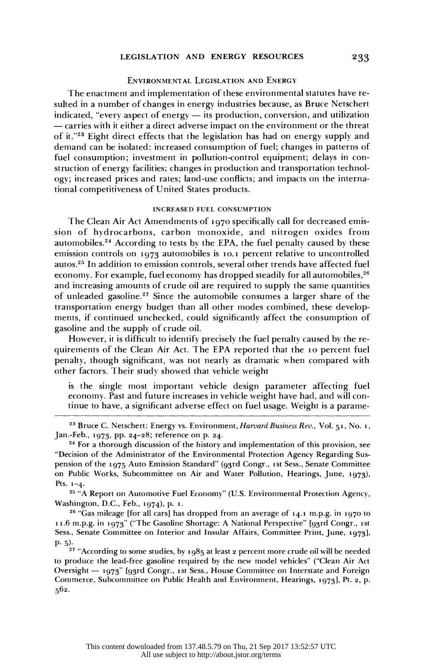# LEGISLATION AND ENERGY RESOURCES

## ENVIRONMENTAL LEGISLATION AND ENERGY

 The enactment and implementation of these environmental statutes have re sulted in a number of changes in energy industries because, as Bruce Netschert indicated, "every aspect of energy  $-$  its production, conversion, and utilization - carries with it either a direct adverse impact on the environment or the threat of it."23 Eight direct effects that the legislation has had on energy supply and demand can be isolated: increased consumption of fuel; changes in patterns of fuel consumption; investment in pollution-control equipment; delays in con struction of energy facilities; changes in production and transportation technol ogy; increased prices and rates; land-use conflicts; and impacts on the interna tional competitiveness of United States products.

## INCREASED FUEL CONSUMPTION

 The Clean Air Act Amendments of 1970 specifically call for decreased emis sion of hydrocarbons, carbon monoxide, and nitrogen oxides from automobiles.<sup>24</sup> According to tests by the EPA, the fuel penalty caused by these emission controls on 1973 automobiles is lo.1 percent relative to uncontrolled autos.25 In addition to emission controls, several other trends have affected fuel economy. For example, fuel economy has dropped steadily for all automobiles,<sup>26</sup> and increasing amounts of crude oil are required to supply the same quantities of unleaded gasoline.<sup>27</sup> Since the automobile consumes a larger share of the transportation energy budget than all other modes combined, these develop ments, if continued unchecked, could significantly affect the consumption of gasoline and the supply of crude oil.

 However, it is difficult to identify precisely the fuel penalty caused by the re quirements of the Clean Air Act. The EPA reported that the 10 percent fuel penalty, though significant, was not nearly as dramatic when compared with other factors. Their study showed that vehicle weight

 is the single most important vehicle design parameter affecting fuel economy. Past and future increases in vehicle weight have had, and will con tinue to have, a significant adverse effect on fuel usage. Weight is a parame-

<sup>25</sup> "A Report on Automotive Fuel Economy" (U.S. Environmental Protection Agency, Washington, D.C., Feb., 1974), p. i.

 26 "Gas mileage [for all cars] has dropped from an average of 14.1 m.p.g. in 1970 to 11.6 m.p.g. in 1973" ("The Gasoline Shortage: A National Perspective" [93rd Congr., ist Sess., Senate Committee on Interior and Insular Affairs, Committee Print, June, 1973], P. 5).

 $27$  "According to some studies, by 1985 at least 2 percent more crude oil will be needed to produce the lead-free gasoline required by the new model vehicles" ("Clean Air Act Oversight - 1973" [93rd Congr., 1st Sess., House Committee on Interstate and Foreign Commerce, Subcommittee on Public Health and Environment, Hearings, 1973], Pt. 2, p. 562.

<sup>&</sup>lt;sup>23</sup> Bruce C. Netschert: Energy vs. Environment, *Harvard Business Rev.*, Vol. 51, No. 1, Jan.-Feb., 1973, pp. 24-28; reference on p. 24.

<sup>&</sup>lt;sup>24</sup> For a thorough discussion of the history and implementation of this provision, see "Decision of the Administrator of the Environmental Protection Agency Regarding Sus pension of the 1975 Auto Emission Standard" (93rd Congr., ist Sess., Senate Committee on Public Works, Subcommittee on Air and Water Pollution, Hearings, June, 1973), Pts. 1-4.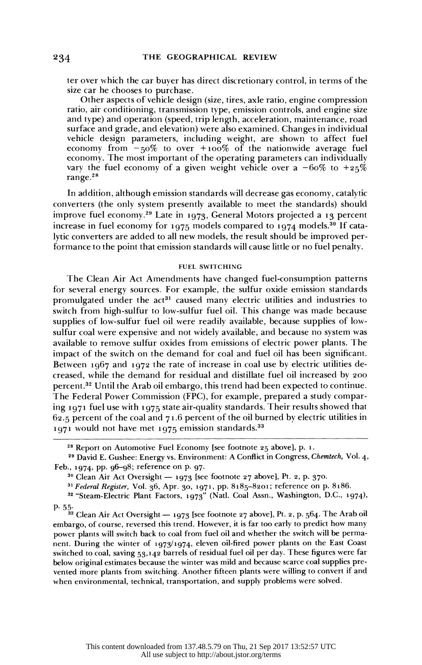ter over which the car buyer has direct discretionary control, in terms of the size car he chooses to purchase.

 Other aspects of vehicle design (size, tires, axle ratio, engine compression ratio, air conditioning, transmission type, emission controls, and engine size and type) and operation (speed, trip length, acceleration, maintenance, road surface and grade, and elevation) were also examined. Changes in individual vehicle design parameters, including weight, are shown to affect fuel economy from  $-50\%$  to over  $+100\%$  of the nationwide average fuel economy. The most important of the operating parameters can individually vary the fuel economy of a given weight vehicle over a  $-60\%$  to  $+25\%$ range.28

 In addition, although emission standards will decrease gas economy, catalytic converters (the only system presently available to meet the standards) should improve fuel economy.29 Late in 1973, General Motors projected a 13 percent increase in fuel economy for 1975 models compared to 1974 models.<sup>30</sup> If cata lytic converters are added to all new models, the result should be improved per formance to the point that emission standards will cause little or no fuel penalty.

#### FUEL SWITCHING

 The Clean Air Act Amendments have changed fuel-consumption patterns for several energy sources. For example, the sulfur oxide emission standards promulgated under the  $act^{31}$  caused many electric utilities and industries to switch from high-sulfur to low-sulfur fuel oil. This change was made because supplies of low-sulfur fuel oil were readily available, because supplies of low sulfur coal were expensive and not widely available, and because no system was available to remove sulfur oxides from emissions of electric power plants. The impact of the switch on the demand for coal and fuel oil has been significant. Between 1967 and 1972 the rate of increase in coal use by electric utilities de creased, while the demand for residual and distillate fuel oil increased by 200 percent.32 Until the Arab oil embargo, this trend had been expected to continue. The Federal Power Commission (FPC), for example, prepared a study compar ing 1971 fuel use with 1975 state air-quality standards. Their results showed that  $62.5$  percent of the coal and  $71.6$  percent of the oil burned by electric utilities in 1971 would not have met 1975 emission standards.33

 <sup>28</sup> Report on Automotive Fuel Economy [see footnote 25 above], p. 1.

<sup>&</sup>lt;sup>29</sup> David E. Gushee: Energy vs. Environment: A Conflict in Congress, Chemtech, Vol. 4, Feb., 1974, pp. 96-98; reference on p. 97.

 $30$  Clean Air Act Oversight  $-$  1973 [see footnote 27 above], Pt. 2, p. 370.

<sup>&</sup>lt;sup>31</sup> Federal Register, Vol. 36, Apr. 30, 1971, pp. 8185-8201; reference on p. 8186.

 <sup>32 &</sup>quot;Steam-Electric Plant Factors, 1973" (Natl. Coal Assn., Washington, D.C., 1974),

p. 55.<br><sup>33</sup> Clean Air Act Oversight — 1973 [see footnote 27 above], Pt. 2, p. 564. The Arab oil embargo, of course, reversed this trend. However, it is far too early to predict how many power plants will switch back to coal from fuel oil and whether the switch will be perma nent. During the winter of 1973/1974, eleven oil-fired power plants on the East Coast switched to coal, saving 53,142 barrels of residual fuel oil per day. These figures were far below original estimates because the winter was mild and because scarce coal supplies pre vented more plants from switching. Another fifteen plants were willing to convert if and when environmental, technical, transportation, and supply problems were solved.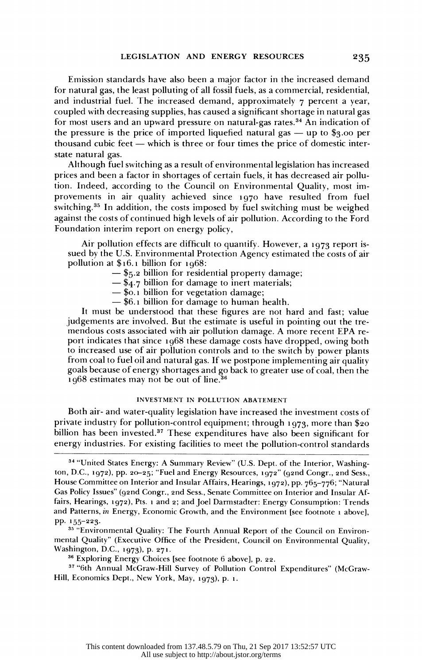Emission standards have also been a major factor in the increased demand for natural gas, the least polluting of all fossil fuels, as a commercial, residential, and industrial fuel. The increased demand, approximately  $\tau$  percent a year, coupled with decreasing supplies, has caused a significant shortage in natural gas for most users and an upward pressure on natural-gas rates.<sup>34</sup> An indication of the pressure is the price of imported liquefied natural gas  $-$  up to \$3.00 per thousand cubic feet  $-$  which is three or four times the price of domestic interstate natural gas.

 Although fuel switching as a result of environmental legislation has increased prices and been a factor in shortages of certain fuels, it has decreased air pollu tion. Indeed, according to the Council on Environmental Quality, most im provements in air quality achieved since 1970 have resulted from fuel switching.35 In addition, the costs imposed by fuel switching must be weighed against the costs of continued high levels of air pollution. According to the Ford Foundation interim report on energy policy,

 Air pollution effects are difficult to quantify. However, a 1973 report is sued by the U.S. Environmental Protection Agency estimated the costs of air pollution at \$16.1 billion for 1968:

- $-$  \$5.2 billion for residential property damage;
- $-\$  \$4.7 billion for damage to inert materials;
- \$o.1 billion for vegetation damage;
- \$6.1 billion for damage to human health.

 It must be understood that these figures are not hard and fast; value judgements are involved. But the estimate is useful in pointing out the tre mendous costs associated with air pollution damage. A more recent EPA re port indicates that since 1968 these damage costs have dropped, owing both to increased use of air pollution controls and to the switch by power plants from coal to fuel oil and natural gas. If we postpone implementing air quality goals because of energy shortages and go back to greater use of coal, then the 1968 estimates may not be out of line.36

## INVESTMENT IN POLLUTION ABATEMENT

 Both air- and water-quality legislation have increased the investment costs of private industry for pollution-control equipment; through 1973, more than \$20 billion has been invested.<sup>37</sup> These expenditures have also been significant for energy industries. For existing facilities to meet the pollution-control standards

 37 "6th Annual McGraw-Hill Survey of Pollution Control Expenditures" (McGraw- Hill, Economics Dept., New York, May, 1973), p. 1.

 <sup>34 &</sup>quot;United States Energy: A Summary Review" (U.S. Dept. of the Interior, Washing ton, D.C., 1972), pp. 20-25; "Fuel and Energy Resources, 1972" (92nd Congr., 2nd Sess., House Committee on Interior and Insular Affairs, Hearings, 1972), pp. 765-776; "Natural Gas Policy Issues" (92nd Congr., 2nd Sess., Senate Committee on Interior and Insular Af fairs, Hearings, 1972), Pts. 1 and 2; and Joel Darmstadter: Energy Consumption: Trends and Patterns, in Energy, Economic Growth, and the Environment [see footnote i above], PP. 155-223.

 <sup>35 &</sup>quot;Environmental Quality: The Fourth Annual Report of the Council on Environ mental Quality" (Executive Office of the President, Council on Environmental Quality, Washington, D.C., 1973), p. 271.

 <sup>36</sup> Exploring Energy Choices [see footnote 6 above], p. 22.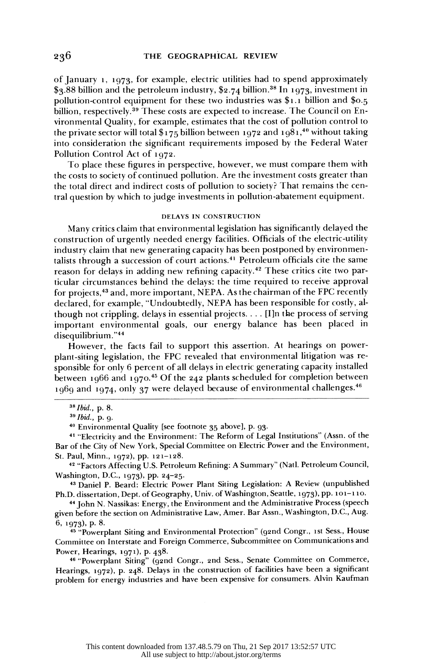of January i, 1973, for example, electric utilities had to spend approximately  $$3.88$  billion and the petroleum industry,  $$2.74$  billion.<sup>38</sup> In 1973, investment in pollution-control equipment for these two industries was \$1.1 billion and \$0.5 billion, respectively.<sup>39</sup> These costs are expected to increase. The Council on En vironmental Quality, for example, estimates that the cost of pollution control to the private sector will total  $\frac{6}{175}$  billion between 1972 and 1981,<sup>40</sup> without taking into consideration the significant requirements imposed by the Federal Water Pollution Control Act of 1972.

 To place these figures in perspective, however, we must compare them with the costs to society of continued pollution. Are the investment costs greater than the total direct and indirect costs of pollution to society? That remains the cen tral question by which to judge investments in pollution-abatement equipment.

#### DELAYS IN CONSTRUCTION

 Many critics claim that environmental legislation has significantly delayed the construction of urgently needed energy facilities. Officials of the electric-utility industry claim that new generating capacity has been postponed by environmen talists through a succession of court actions.41 Petroleum officials cite the same reason for delays in adding new refining capacity.<sup>42</sup> These critics cite two par ticular circumstances behind the delays: the time required to receive approval for projects,<sup>43</sup> and, more important, NEPA. As the chairman of the FPC recently declared, for example, "Undoubtedly, NEPA has been responsible for costly, al though not crippling, delays in essential projects.... [I]n the process of serving important environmental goals, our energy balance has been placed in disequilibrium."44

 However, the facts fail to support this assertion. At hearings on power plant-siting legislation, the FPC revealed that environmental litigation was re sponsible for only 6 percent of all delays in electric generating capacity installed between 1966 and 1970.<sup>45</sup> Of the 242 plants scheduled for completion between 1969 and 1974, only 37 were delayed because of environmental challenges. $46$ 

40 Environmental Quality [see footnote 35 above], p. 93.

 41 "Electricity and the Environment: The Reform of Legal Institutions" (Assn. of the Bar of the City of New York, Special Committee on Electric Power and the Environment, St. Paul, Minn., 1972), pp. 121-128.

<sup>42</sup> "Factors Affecting U.S. Petroleum Refining: A Summary" (Natl. Petroleum Council, Washington, D.C., 1973), pp. 24-25.

 43 Daniel P. Beard: Electric Power Plant Siting Legislation: A Review (unpublished Ph.D. dissertation, Dept. of Geography, Univ. of Washington, Seattle, 1973), pp. 101-110.

 44 John N. Nassikas: Energy, the Environment and the Administrative Process (speech given before the section on Administrative Law, Amer. Bar Assn., Washington, D.C., Aug. 6, 1973), p. 8.

<sup>45</sup> "Powerplant Siting and Environmental Protection" (92nd Congr., 1st Sess., House Committee on Interstate and Foreign Commerce, Subcommittee on Communications and Power, Hearings, 1971), p. 438.

 46 "Powerplant Siting" (92nd Congr., 2nd Sess., Senate Committee on Commerce, Hearings, 1972), p. 248. Delays in the construction of facilities have been a significant problem for energy industries and have been expensive for consumers. Alvin Kaufman

 <sup>38</sup> Ibid., p. 8.

 <sup>39</sup> Ibid., p. 9.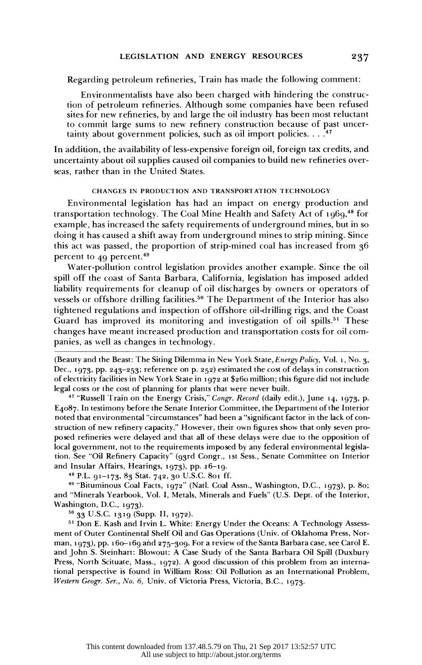Regarding petroleum refineries, Train has made the following comment:

 Environmentalists have also been charged with hindering the construc tion of petroleum refineries. Although some companies have been refused sites for new refineries, by and large the oil industry has been most reluctant to commit large sums to new refinery construction because of past uncer tainty about government policies, such as oil import policies.  $\dots$ <sup>47</sup>

 In addition, the availability of less-expensive foreign oil, foreign tax credits, and uncertainty about oil supplies caused oil companies to build new refineries over seas, rather than in the United States.

### CHANGES IN PRODUCTION AND TRANSPORTATION TECHNOLOGY

 Environmental legislation has had an impact on energy production and transportation technology. The Coal Mine Health and Safety Act of 1969,<sup>48</sup> for example, has increased the safety requirements of underground mines, but in so doing it has caused a shift away from underground mines to strip mining. Since this act was passed, the proportion of strip-mined coal has increased from 36 percent to 49 percent.49

 Water-pollution control legislation provides another example. Since the oil spill off the coast of Santa Barbara, California, legislation has imposed added liability requirements for cleanup of oil discharges by owners or operators of vessels or offshore drilling facilities.<sup>50</sup> The Department of the Interior has also tightened regulations and inspection of offshore oil-drilling rigs, and the Coast Guard has improved its monitoring and investigation of oil spills.<sup>51</sup> These changes have meant increased production and transportation costs for oil com panies, as well as changes in technology.

 (Beauty and the Beast: The Siting Dilemma in New York State, Energy Policy, Vol. 1, No. 3, Dec., 1973, pp. 243-253; reference on p. 252) estimated the cost of delays in construction of electricity facilities in New York State in 1972 at \$260 million; this figure did not include legal costs or the cost of planning for plants that were never built.

<sup>47</sup> "Russell Train on the Energy Crisis," Congr. Record (daily edit.), June 14, 1973, p. E4o87. In testimony before the Senate Interior Committee, the Department of the Interior noted that environmental "circumstances" had been a "significant factor in the lack of con struction of new refinery capacity." However, their own figures show that only seven pro posed refineries were delayed and that all of these delays were due to the opposition of local government, not to the requirements imposed by any federal environmental legisla tion. See "Oil Refinery Capacity" (93rd Congr., 1st Sess., Senate Committee on Interior and Insular Affairs, Hearings, 1973), pp.  $16-19$ .

<sup>48</sup> P.L. 91-173, 83 Stat. 742, 30 U.S.C. 801 ff.

 49 "Bituminous Coal Facts, 1972" (Natl. Coal Assn., Washington, D.C., 1973), p. 8o; and "Minerals Yearbook, Vol. I, Metals, Minerals and Fuels" (U.S. Dept. of the Interior, Washington, D.C., 1973).

50 33 U.S.C. 1319 (Supp. II, 1972).

 51 Don E. Kash and Irvin L. White: Energy Under the Oceans: A Technology Assess ment of Outer Continental Shelf Oil and Gas Operations (Univ. of Oklahoma Press, Nor man, 1973), pp. 16o-169 and 275-309. For a review of the Santa Barbara case, see Carol E. and John S. Steinhart: Blowout: A Case Study of the Santa Barbara Oil Spill (Duxbury Press, North Scituate, Mass., 1972). A good discussion of this problem from an interna tional perspective is found in William Ross: Oil Pollution as an International Problem, Western Geogr. Ser., No. 6, Univ. of Victoria Press, Victoria, B.C., 1973.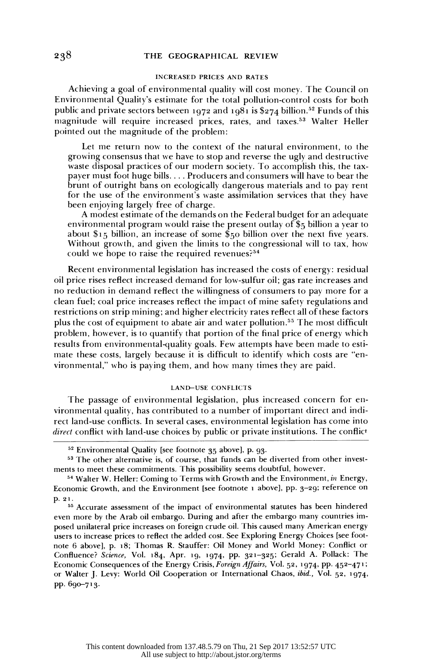#### THE GEOGRAPHICAL REVIEW

## INCREASED PRICES AND RATES

 Achieving a goal of environmental quality will cost money. The Council on Environmental Quality's estimate for the total pollution-control costs for both public and private sectors between 1972 and 1981 is \$274 billion.<sup>52</sup> Funds of this magnitude will require increased prices, rates, and taxes.53 Walter Heller pointed out the magnitude of the problem:

 Let me return now to the context of the natural environment, to the growing consensus that we have to stop and reverse the ugly and destructive waste disposal practices of our modern society. To accomplish this, the tax payer must foot huge bills.... Producers and consumers will have to bear the brunt of outright bans on ecologically dangerous materials and to pay rent for the use of the environment's waste assimilation services that they have been enjoying largely free of charge.

 A modest estimate of the demands on the Federal budget for an adequate environmental program would raise the present outlay of \$5 billion a year to about \$15 billion, an increase of some \$50 billion over the next five years. Without growth, and given the limits to the congressional will to tax, how could we hope to raise the required revenues?54

 Recent environmental legislation has increased the costs of energy: residual oil price rises reflect increased demand for low-sulfur oil; gas rate increases and no reduction in demand reflect the willingness of consumers to pay more for a clean fuel; coal price increases reflect the impact of mine safety regulations and restrictions on strip mining; and higher electricity rates reflect all of these factors plus the cost of equipment to abate air and water pollution.<sup>55</sup> The most difficult problem, however, is to quantify that portion of the final price of energy which results from environmental-quality goals. Few attempts have been made to esti mate these costs, largely because it is difficult to identify which costs are "en vironmental," who is paying them, and how many times they are paid.

#### LAND-USE CONFLICTS

 The passage of environmental legislation, plus increased concern for en vironmental quality, has contributed to a number of important direct and indi rect land-use conflicts. In several cases, environmental legislation has come into direct conflict with land-use choices by public or private institutions. The conflict

 <sup>52</sup> Environmental Quality [see footnote 35 above], p. 93.

 <sup>53</sup> The other alternative is, of course, that funds can be diverted from other invest ments to meet these commitments. This possibility seems doubtful, however.

<sup>&</sup>lt;sup>54</sup> Walter W. Heller: Coming to Terms with Growth and the Environment, in Energy, Economic Growth, and the Environment [see footnote 1 above], pp. 3-29; reference on p. 21.

 <sup>55</sup> Accurate assessment of the impact of environmental statutes has been hindered even more by the Arab oil embargo. During and after the embargo many countries im posed unilateral price increases on foreign crude oil. This caused many American energy users to increase prices to reflect the added cost. See Exploring Energy Choices [see foot note 6 above], p. 18; Thomas R. Stauffer: Oil Money and World Money: Conflict or Confluence? Science, Vol. 184, Apr. 19, 1974, pp. 321-325; Gerald A. Pollack: The Economic Consequences of the Energy Crisis, Foreign Affairs, Vol. 52, 1974, pp. 452-471; or Walter J. Levy: World Oil Cooperation or International Chaos, ibid., Vol. 52, 1974, pp. 690-713.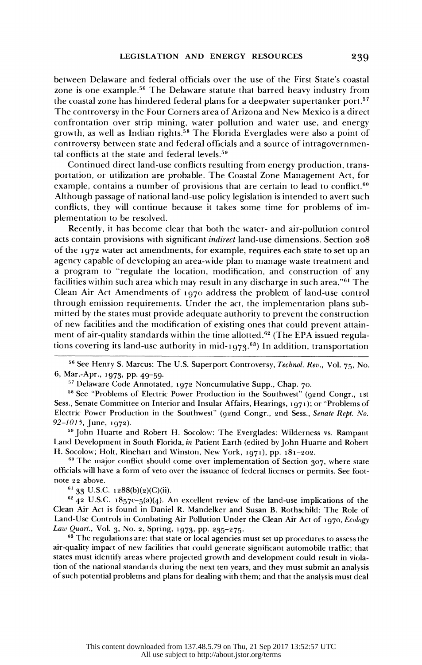between Delaware and federal officials over the use of the First State's coastal zone is one example.56 The Delaware statute that barred heavy industry from the coastal zone has hindered federal plans for a deepwater supertanker port.<sup>57</sup> The controversy in the Four Corners area of Arizona and New Mexico is a direct confrontation over strip mining, water pollution and water use, and energy growth, as well as Indian rights.58 The Florida Everglades were also a point of controversy between state and federal officials and a source of intragovernmen tal conflicts at the state and federal levels.<sup>59</sup>

 Continued direct land-use conflicts resulting from energy production, trans portation, or utilization are probable. The Coastal Zone Management Act, for example, contains a number of provisions that are certain to lead to conflict.<sup>60</sup> Although passage of national land-use policy legislation is intended to avert such conflicts, they will continue because it takes some time for problems of im plementation to be resolved.

 Recently, it has become clear that both the water- and air-pollution control acts contain provisions with significant indirect land-use dimensions. Section 208 of the 1972 water act amendments, for example, requires each state to set up an agency capable of developing an area-wide plan to manage waste treatment and a program to "regulate the location, modification, and construction of any facilities within such area which may result in any discharge in such area."61 The Clean Air Act Amendments of 1970 address the problem of land-use control through emission requirements. Under the act, the implementation plans sub mitted by the states must provide adequate authority to prevent the construction of new facilities and the modification of existing ones that could prevent attain ment of air-quality standards within the time allotted.<sup>62</sup> (The EPA issued regulations covering its land-use authority in mid-1973.<sup>63</sup>) In addition, transportation

<sup>56</sup> See Henry S. Marcus: The U.S. Superport Controversy, Technol. Rev., Vol. 75, No. 6, Mar.-Apr., 1973, pp. 49-59.

57 Delaware Code Annotated, 1972 Noncumulative Supp., Chap. 70.

<sup>58</sup> See "Problems of Electric Power Production in the Southwest" (92nd Congr., 1st Sess., Senate Committee on Interior and Insular Affairs, Hearings, 1971); or "Problems of Electric Power Production in the Southwest" (92nd Congr., 2nd Sess., Senate Rept. No. 92-1015, June, 1972).

<sup>59</sup> John Huarte and Robert H. Socolow: The Everglades: Wilderness vs. Rampant Land Development in South Florida, in Patient Earth (edited by John Huarte and Robert H. Socolow; Holt, Rinehart and Winston, New York, 1971), pp. 181-202.

 $60$  The major conflict should come over implementation of Section 307, where state officials will have a form of veto over the issuance of federal licenses or permits. See foot note 22 above.

 $61$  33 U.S.C. 1288(b)(2)(C)(ii).

 $62$  42 U.S.C. 1857c-5(a)(4). An excellent review of the land-use implications of the Clean Air Act is found in Daniel R. Mandelker and Susan B. Rothschild: The Role of Land-Use Controls in Combating Air Pollution Under the Clean Air Act of 1970, Ecology Law Quart., Vol. 3, No. 2, Spring, 1973, pp. 235-275.

<sup>63</sup> The regulations are: that state or local agencies must set up procedures to assess the air-quality impact of new facilities that could generate significant automobile traffic; that states must identify areas where projected growth and development could result in viola tion of the national standards during the next ten years, and they must submit an analysis of such potential problems and plans for dealing with them; and that the analysis must deal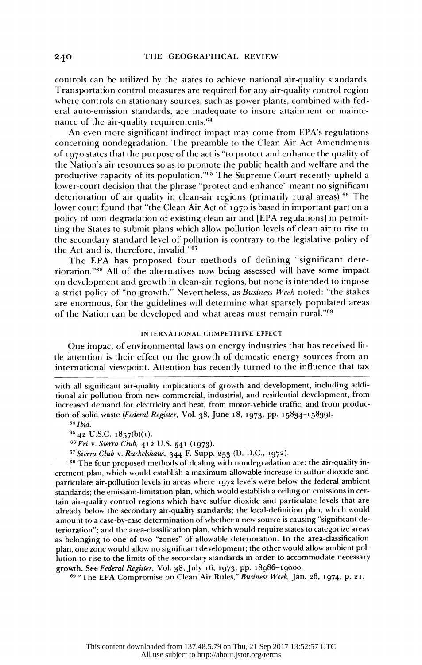controls can be utilized by the states to achieve national air-quality standards. Transportation control measures are required for any air-quality control region where controls on stationary sources, such as power plants, combined with fed eral auto-emission standards, are inadequate to insure attainment or mainte nance of the air-quality requirements.<sup>64</sup>

 An even more significant indirect impact may come from EPA's regulations concerning nondegradation. The preamble to the Clean Air Act Amendments of 1970 states that the purpose of the act is "to protect and enhance the quality of the Nation's air resources so as to promote the public health and welfare and the productive capacity of its population."65 The Supreme Court recently upheld a lower-court decision that the phrase "protect and enhance" meant no significant deterioration of air quality in clean-air regions (primarily rural areas).66 The lower court found that "the Clean Air Act of 1970 is based in important part on a policy of non-degradation of existing clean air and [EPA regulations] in permit ting the States to submit plans which allow pollution levels of clean air to rise to the secondary standard level of pollution is contrary to the legislative policy of the Act and is, therefore, invalid."67

 The EPA has proposed four methods of defining "significant dete rioration."68 All of the alternatives now being assessed will have some impact on development and growth in clean-air regions, but none is intended to impose a strict policy of "no growth." Nevertheless, as Business Week noted: "the stakes are enormous, for the guidelines will determine what sparsely populated areas of the Nation can be developed and what areas must remain rural."69

# INTERNATIONAL COMPETITIVE EFFECT

 One impact of environmental laws on energy industries that has received lit tle attention is their effect on the growth of domestic energy sources from an international viewpoint. Attention has recently turned to the influence that tax

 with all significant air-quality implications of growth and development, including addi tional air pollution from new commercial, industrial, and residential development, from increased demand for electricity and heat, from motor-vehicle traffic, and from produc tion of solid waste (Federal Register, Vol. 38, June 18, 1973, pp. 15834-15839).

64 Ibid.

65 42 U.S.C. 1857(b)(i).

66 Fri v. Sierra Club, 412 U.S. 541 (1973).

67 Sierra Club v. Ruckelshaus, 344 F. Supp. 253 (D. D.C., 1972).

 68 The four proposed methods of dealing with nondegradation are: the air-quality in crement plan, which would establish a maximum allowable increase in sulfur dioxide and particulate air-pollution levels in areas where 1972 levels were below the federal ambient .standards; the emission-limitation plan, which would establish a ceiling on emissions in cer tain air-quality control regions which have sulfur dioxide and particulate levels that are already below the secondary air-quality standards; the local-definition plan, which would amount to a case-by-case determination of whether a new source is causing "significant de terioration"; and the area-classification plan, which would require states to categorize areas as belonging to one of two "zones" of allowable deterioration. In the area-classification plan, one zone would allow no significant development; the other would allow ambient pol lution to rise to the limits of the secondary standards in order to accommodate necessary growth. See *Federal Register*, Vol. 38, July 10, 1973, pp. 18980–1

<sup>99</sup> "The EPA Compromise on Clean Air Rules, *Business Week*, Jan. 20, 197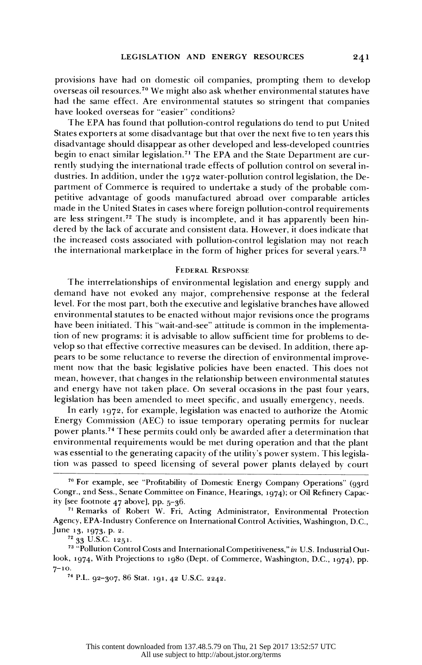provisions have had on domestic oil companies, prompting them to develop overseas oil resources.7" We might also ask whether environmental statutes have had the same effect. Are environmental statutes so stringent that companies have looked overseas for "easier" conditions?

 The EPA has found that pollution-control regulations do tend to put United States exporters at some disadvantage but that over the next five to ten years this disadvantage should disappear as other developed and less-developed countries begin to enact similar legislation.<sup>71</sup> The EPA and the State Department are cur rently studying the international trade effects of pollution control on several in dustries. In addition, under the 1972 water-pollution control legislation, the De partment of Commerce is required to undertake a study of the probable com petitive advantage of goods manufactured abroad over comparable articles made in the United States in cases where foreign pollution-control requirements are less stringent.<sup>72</sup> The study is incomplete, and it has apparently been hin dered by the lack of accurate and consistent data. However, it does indicate that the increased costs associated with pollution-control legislation may not reach the international marketplace in the form of higher prices for several years.73

## FEDERAL RESPONSE

 The interrelationships of environmental legislation and energy supply and demand have not evoked any major, comprehensive response at the federal level. For the most part, both the executive and legislative branches have allowed environmental statutes to be enacted without major revisions once the programs have been initiated. This "wait-and-see" attitude is common in the implementa tion of new programs: it is advisable to allow sufficient time for problems to de velop so that effective corrective measures can be devised. In addition, there ap pears to be some reluctance to reverse the direction of environmental improve ment now that the basic legislative policies have been enacted. This does not mean, however, that changes in the relationship between environmental statutes and energy have not taken place. On several occasions in the past four years, legislation has been amended to meet specific, and usually emergency, needs.

 In early 1972, for example, legislation was enacted to authorize the Atomic Energy Commission (AEC) to issue temporary operating permits for nuclear power plants.74 These permits could only be awarded after a determination that environmental requirements would be met during operation and that the plant was essential to the generating capacity of the utility's power system. This legisla tion was passed to speed licensing of several power plants delayed by court

72 33 U.S.C. 1251.

241

 <sup>70</sup> For example, see "Profitability of Domestic Energy Company Operations" (93rd Congr., 2nd Sess., Senate Committee on Finance, Hearings, 1974); or Oil Refinery Capac ity [see footnote 47 above], pp. 5-36.

 <sup>71</sup> Remarks of Robert W. Fri, Acting Administrator, Environmental Protection Agency, EPA-Industry Conference on International Control Activities, Washington, D.C., June 13, 1973, p. 2.

<sup>&</sup>lt;sup>73</sup> "Pollution Control Costs and International Competitiveness," in U.S. Industrial Out look, 1974, With Projections to 1980 (Dept. of Commerce, Washington, D.C., 1974), pp.  $7^{-10}$ .

 <sup>74</sup> P.L. 92-307, 86 Stat. 191, 42 U.S.C. 2242.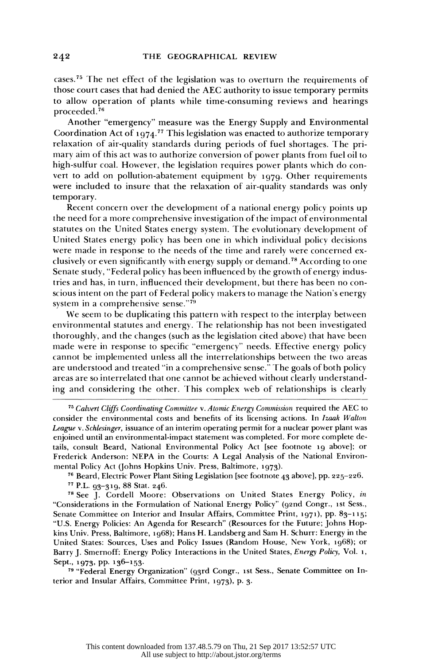cases.75 The net effect of the legislation was to overturn the requirements of those court cases that had denied the AEC authority to issue temporary permits to allow operation of plants while time-consuming reviews and hearings proceeded.76

 Another "emergency" measure was the Energy Supply and Environmental Coordination Act of 1974.<sup>77</sup> This legislation was enacted to authorize temporary relaxation of air-quality standards during periods of fuel shortages. The pri mary aim of this act was to authorize conversion of power plants from fuel oil to high-sulfur coal. However, the legislation requires power plants which do con vert to add on pollution-abatement equipment by 1979. Other requirements were included to insure that the relaxation of air-quality standards was only temporary.

 Recent concern over the development of a national energy policy points up the need for a more comprehensive investigation of the impact of environmental statutes on the United States energy system. The evolutionary development of United States energy policy has been one in which individual policy decisions were made in response to the needs of the time and rarely were concerned ex clusively or even significantly with energy supply or demand.78 According to one Senate study, "Federal policy has been influenced by the growth of energy indus tries and has, in turn, influenced their development, but there has been no con scious intent on the part of Federal policy makers to manage the Nation's energy system in a comprehensive sense."79

 We seem to be duplicating this pattern with respect to the interplay between environmental statutes and energy. The relationship has not been investigated thoroughly, and the changes (such as the legislation cited above) that have been made were in response to specific "emergency" needs. Effective energy policy cannot be implemented unless all the interrelationships between the two areas are understood and treated "in a comprehensive sense." The goals of both policy areas are so interrelated that one cannot be achieved without clearly understand ing and considering the other. This complex web of relationships is clearly

<sup>75</sup> Calvert Cliffs Coordinating Committee v. Atomic Energy Commission required the AEC to consider the environmental costs and benefits of its licensing actions. In Izaak Walton League v. Schlesinger, issuance of an interim operating permit for a nuclear power plant was enjoined until an environmental-impact statement was completed. For more complete de tails, consult Beard, National Environmental Policy Act [see footnote 19 above]; or Frederick Anderson: NEPA in the Courts: A Legal Analysis of the National Environ mental Policy Act (Johns Hopkins Univ. Press, Baltimore, 1973).

76 Beard, Electric Power Plant Siting Legislation [see footnote 43 above], pp. 225-226.

77 P.L. 93-319, 88 Stat. 246.

 78 See J. Cordell Moore: Observations on United States Energy Policy, in "Considerations in the Formulation of National Energy Policy" (92nd Congr., 1st Sess., Senate Committee on Interior and Insular Affairs, Committee Print, 1971), pp. 83-1 15; "U.S. Energy Policies: An Agenda for Research" (Resources for the Future; Johns Hop kins Univ. Press, Baltimore, 1968); Hans H. Landsberg and Sam H. Schurr: Energy in the United States: Sources, Uses and Policy Issues (Random House, New York, 1968); or Barry J. Smernoff: Energy Policy Interactions in the United States, Energy Policy, Vol. 1, Sept., 1973, pp. 136-153.

 79 "Federal Energy Organization" (93rd Congr., ist Sess., Senate Committee on In terior and Insular Affairs, Committee Print, 1973), p. 3.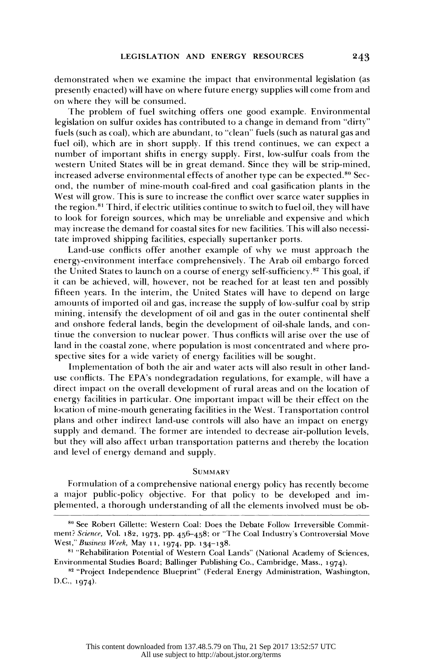demonstrated when we examine the impact that environmental legislation (as presently enacted) will have on where future energy supplies will come from and on where they will be consumed.

 The problem of fuel switching offers one good example. Environmental legislation on sulfur oxides has contributed to a change in demand from "dirty" fuels (such as coal), which are abundant, to "clean" fuels (such as natural gas and fuel oil), which are in short supply. If this trend continues, we can expect a number of important shifts in energy supply. First, low-sulfur coals from the western United States will be in great demand. Since they will be strip-mined, increased adverse environmental effects of another type can be expected.<sup>80</sup> Sec ond, the number of mine-mouth coal-fired and coal gasification plants in the West will grow. This is sure to increase the conflict over scarce water supplies in the region.<sup>81</sup> Third, if electric utilities continue to switch to fuel oil, they will have to look for foreign sources, which may be unreliable and expensive and which may increase the demand for coastal sites for new facilities. This will also necessi tate improved shipping facilities, especially supertanker ports.

 Land-use conflicts offer another example of why we must approach the energy-environment interface comprehensively. The Arab oil embargo forced the United States to launch on a course of energy self-sufficiency.82 This goal, if it can be achieved, will, however, not be reached for at least ten and possibly fifteen years. In the interim, the United States will have to depend on large amounts of imported oil and gas, increase the supply of low-sulfur coal by strip mining, intensify the development of oil and gas in the outer continental shelf and onshore federal lands, begin the development of oil-shale lands, and con tinue the conversion to nuclear power. Thus conflicts will arise over the use of land in the coastal zone, where population is most concentrated and where pro spective sites for a wide variety of energy facilities will be sought.

 Implementation of both the air and water acts will also result in other land use conflicts. The EPA's nondegradation regulations, for example, will have a direct impact on the overall development of rural areas and on the location of energy facilities in particular. One important impact will be their effect on the location of mine-mouth generating facilities in the West. Transportation control plans and other indirect land-use controls xvill also have an impact on energy supply and demand. The former are intended to decrease air-pollution levels, but they will also affect urban transportation patterns and thereby the location and level of energy demand and supply.

# **SUMMARY**

 Formulation of a comprehensive national energy policy has recently become a major public-policy objective. For that policy to be developed and im plemented, a thorough understanding of all the elements involved must be ob-

243

<sup>80</sup> See Robert Gillette: Western Coal: Does the Debate Follow Irreversible Commit ment? Science, Vol. 182, 1973, pp. 456-458; or "The Coal Industry's Controversial Move West," Business Week, May 11, 1974, pp. 134-138.

<sup>81 &</sup>quot;Rehabilitation Potential of Western Coal Lands" (National Academy of Sciences, Environmental Studies Board; Ballinger Publishing Co., Cambridge, Mass., 1974).

<sup>82 &</sup>quot;Project Independence Blueprint" (Federal Energy Administration, Washington, D.C., 1974).